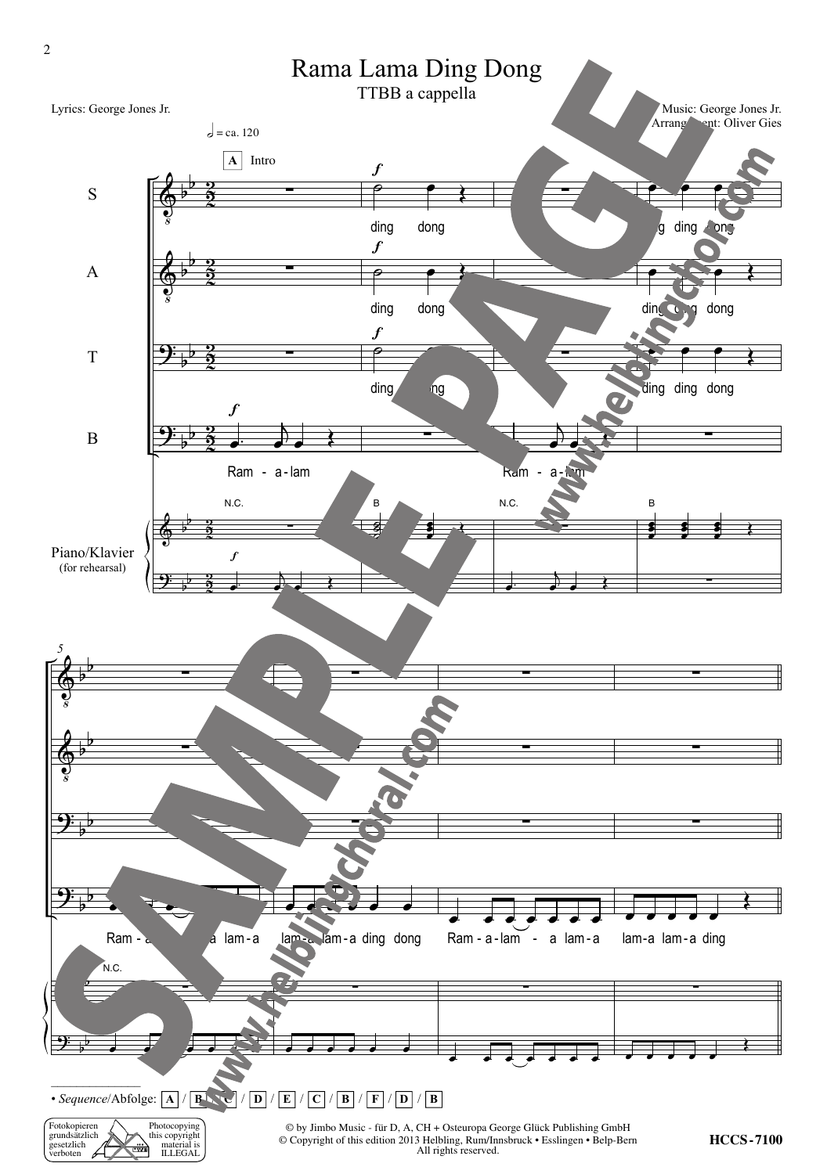

Fotokopieren grundsätzlich gesetzlich verboten Photocopying this copyright material is material is<br>ILLEGAL ₩

 $\heartsuit$  by Jimbo Music - fur D, A, CH + Osteuropa George Gluck Publishing GmbH<br>Copyright of this odition 2013 Holbling, Bum/Innsbruck • Esslingen • Boln Ber All rights reserved © Copyright of this edition 2013 Helbling, Rum/Innsbruck • Esslingen • Belp-Bern All rights reserved.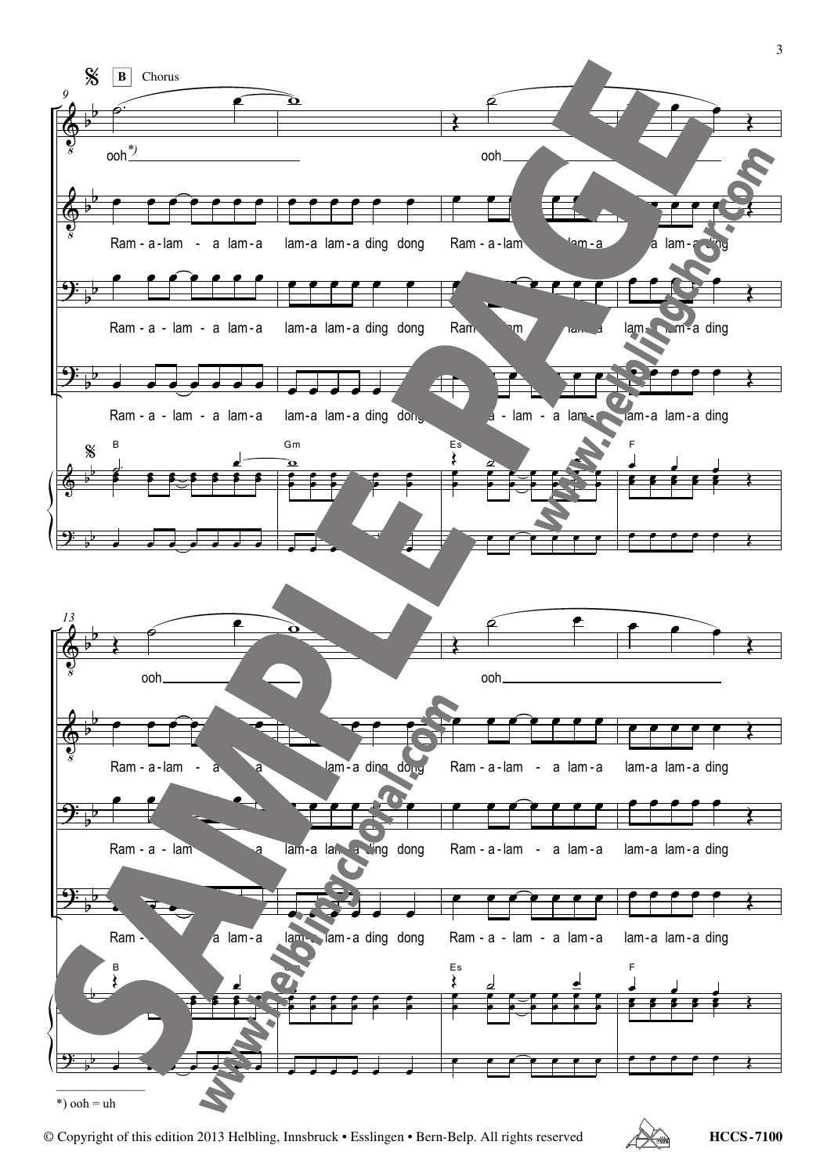

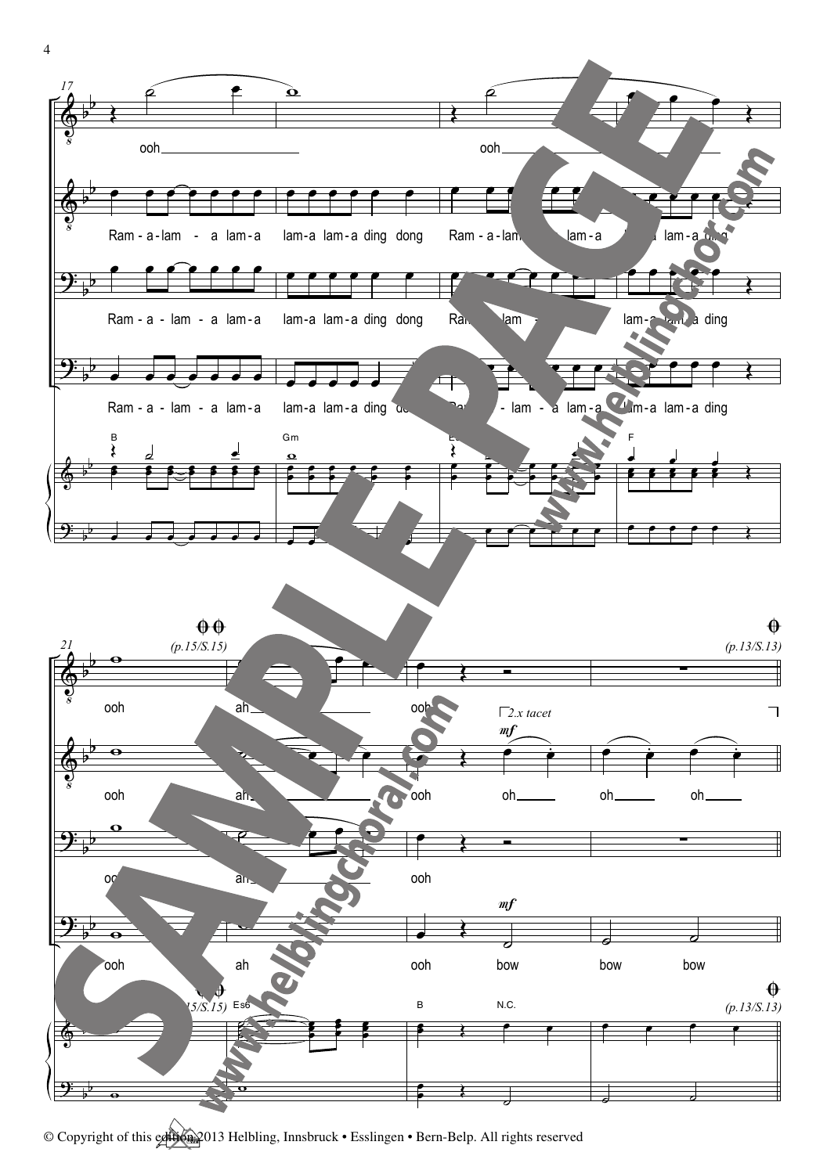

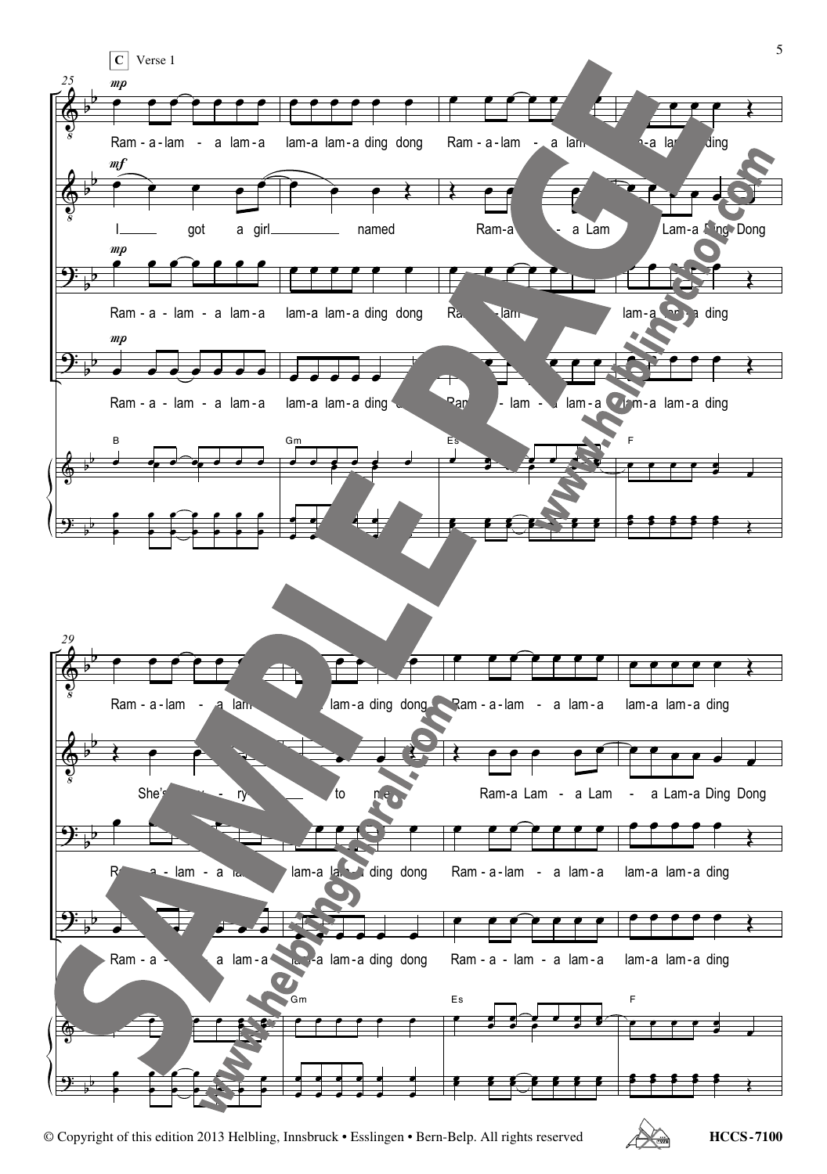

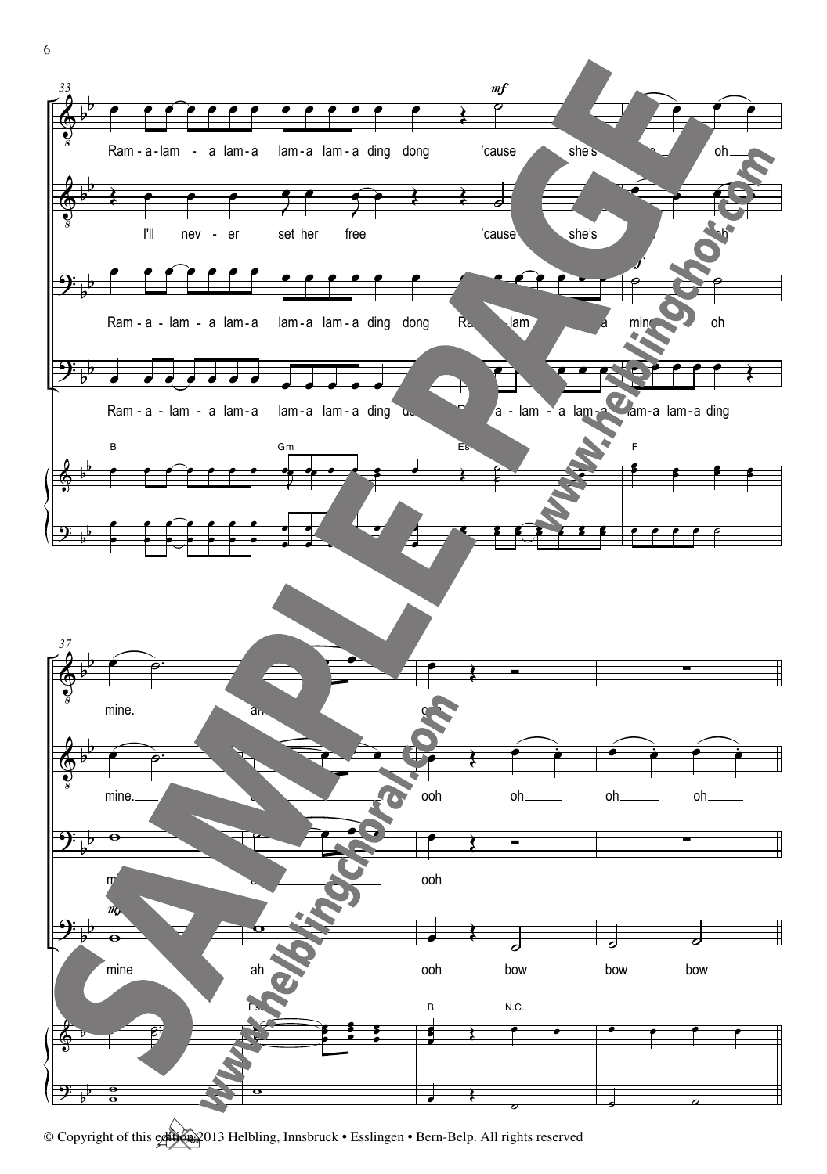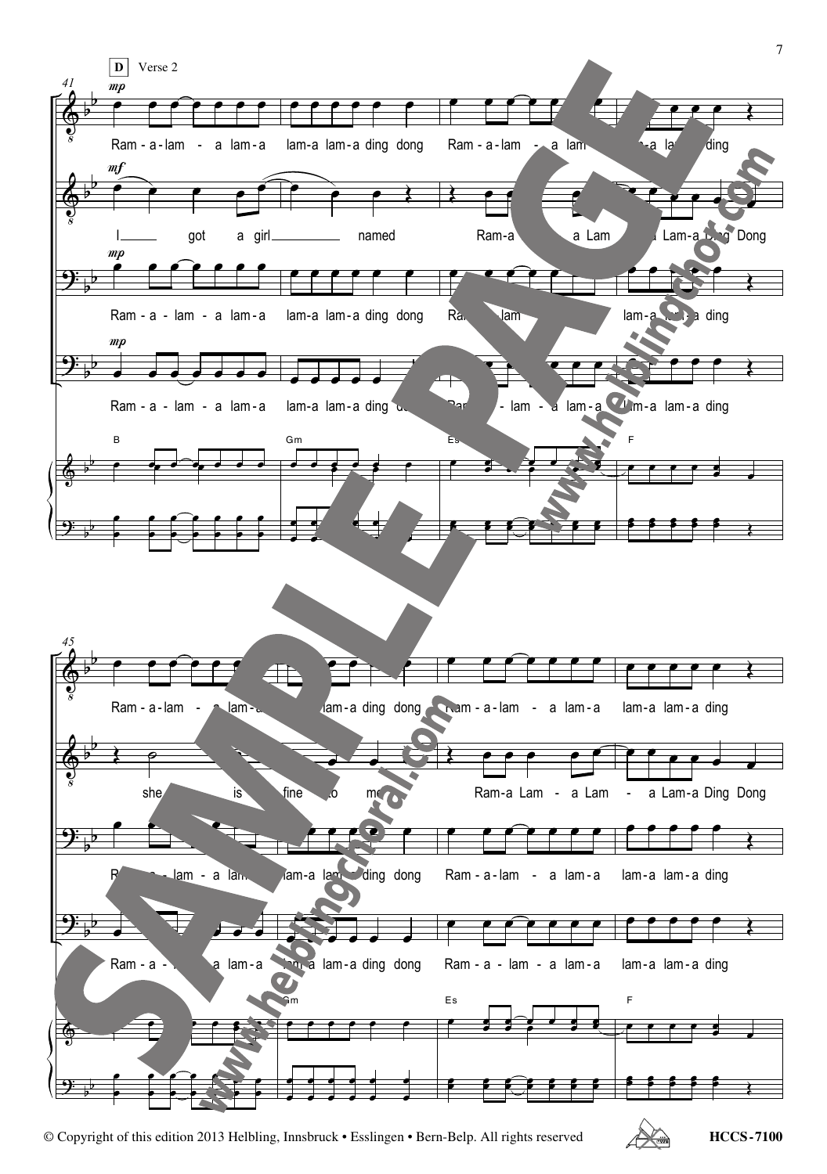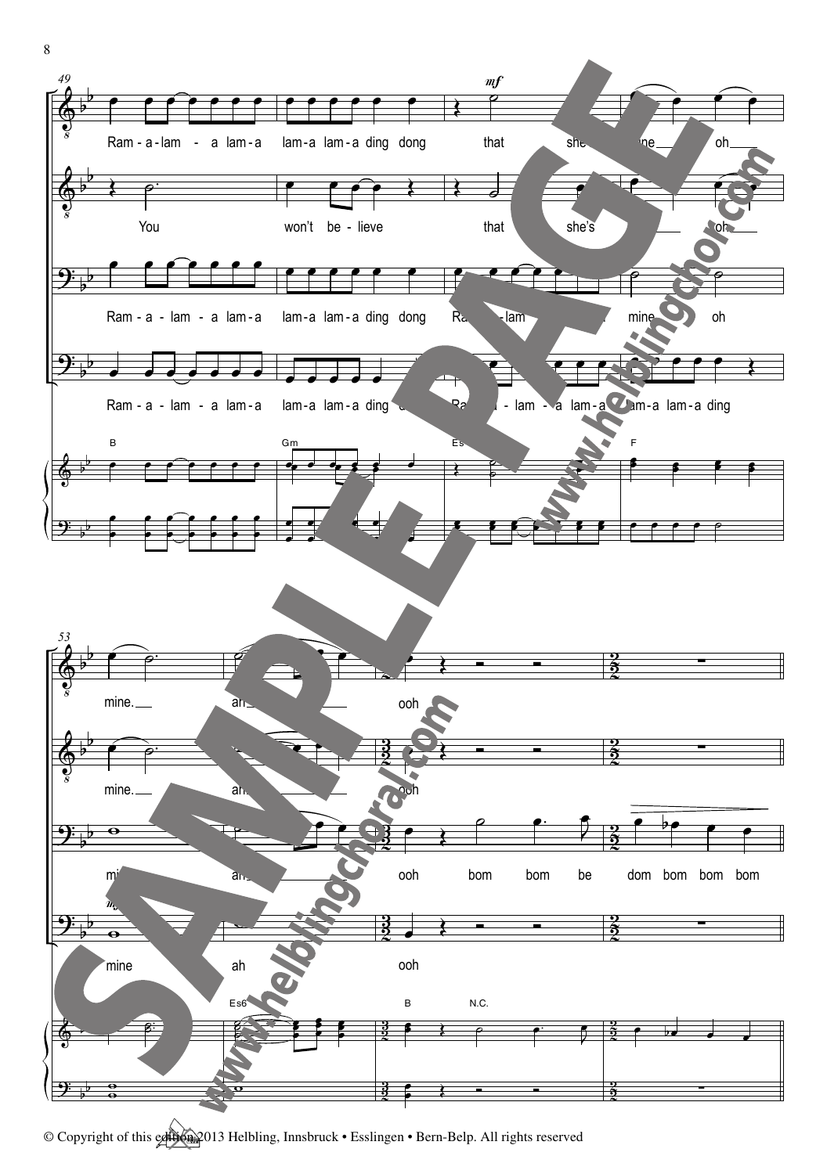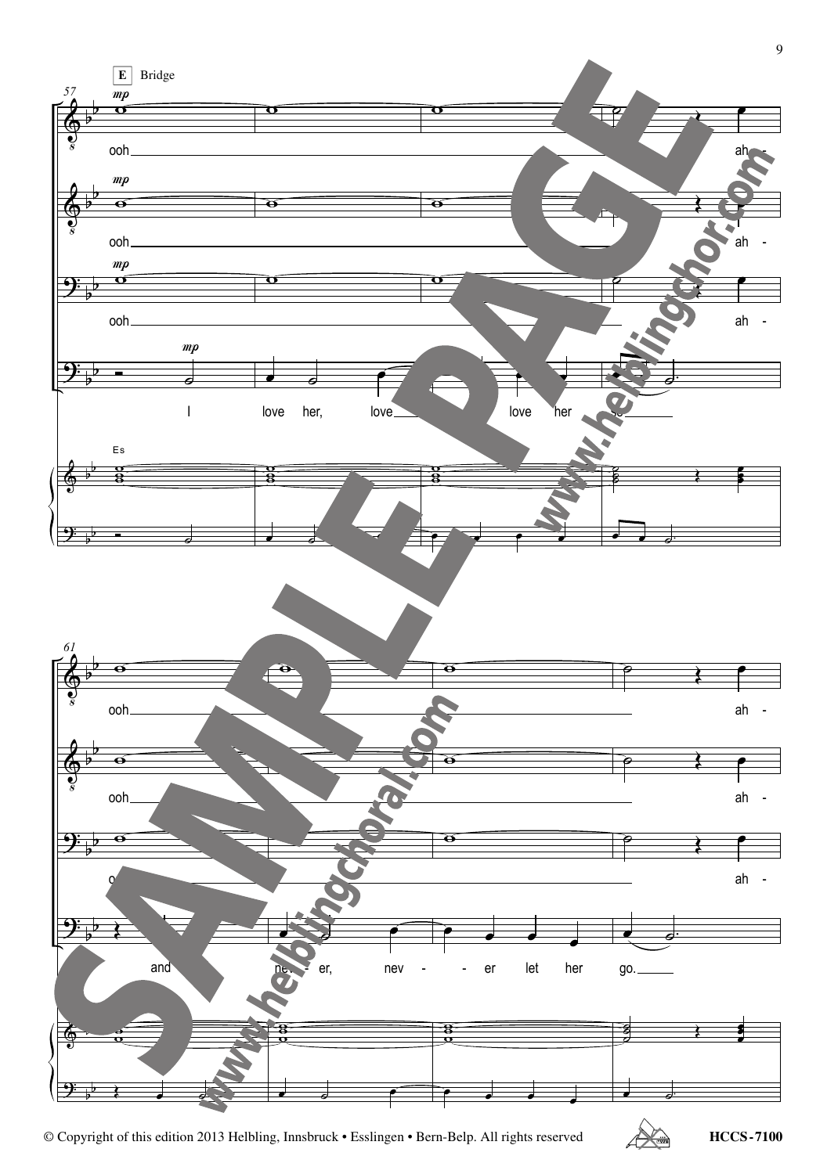

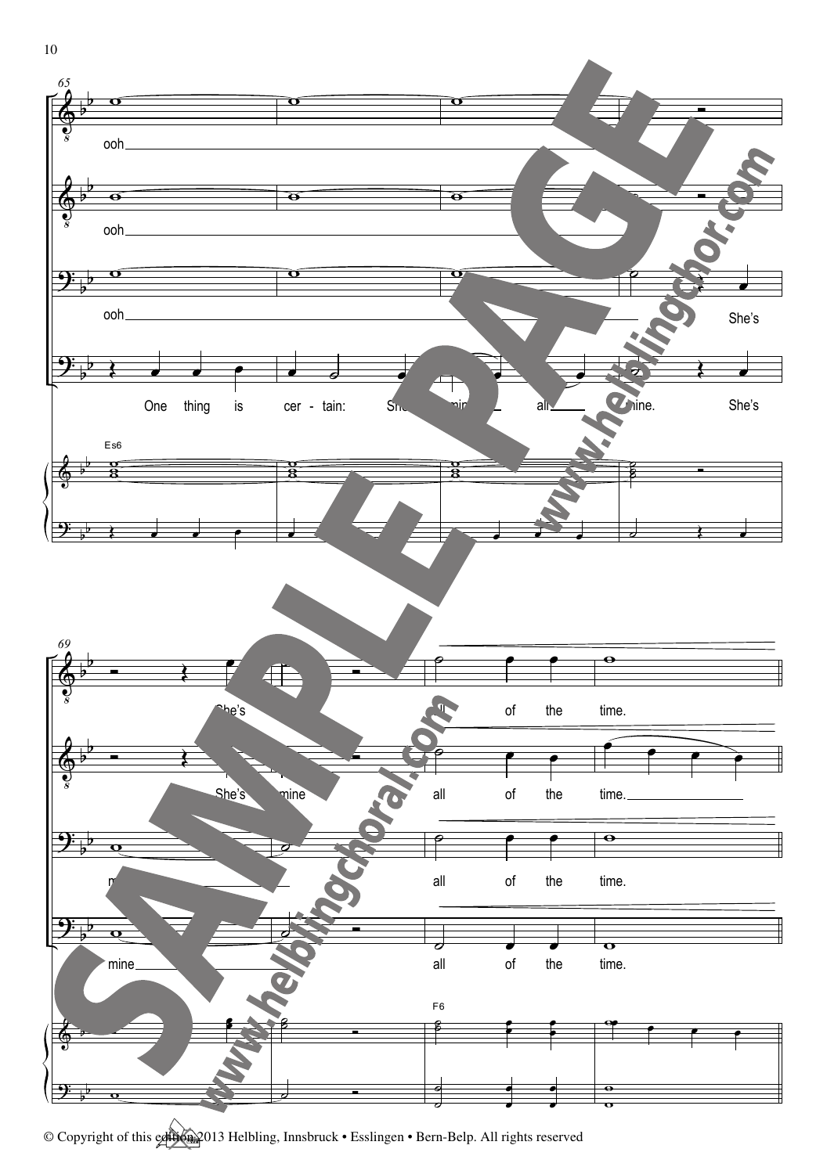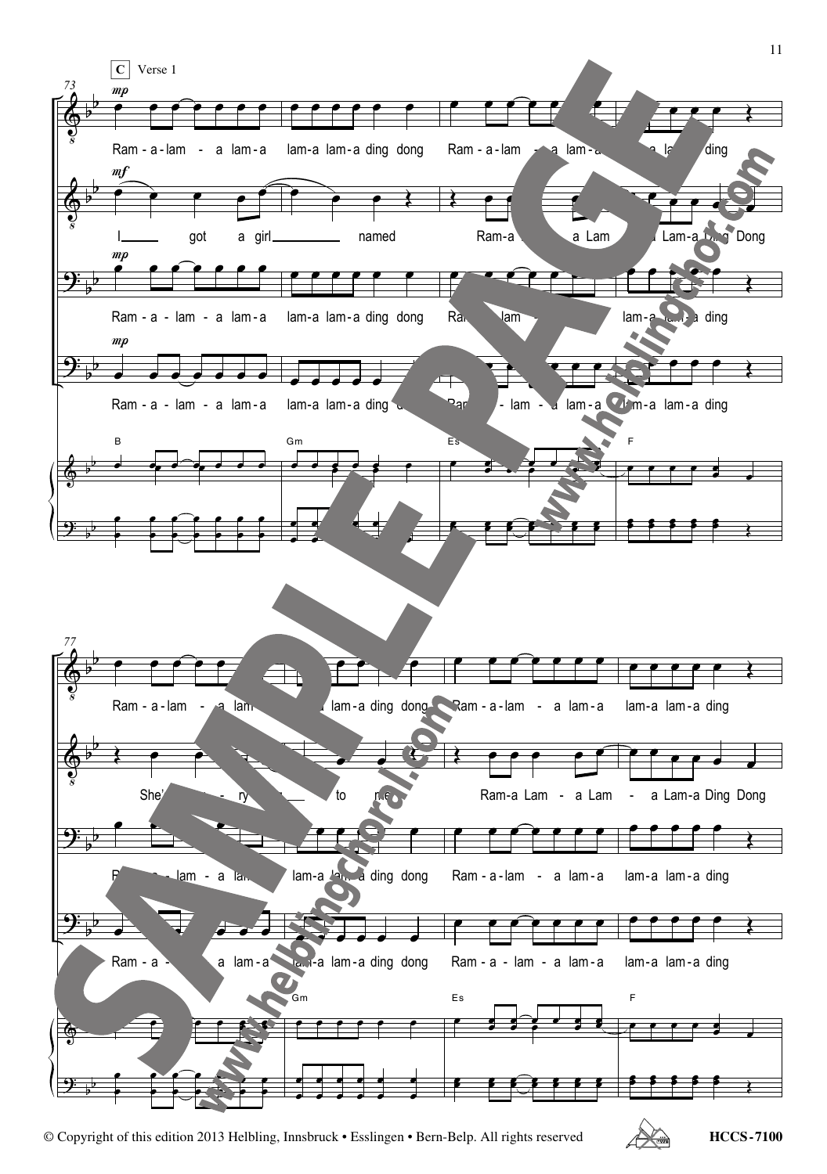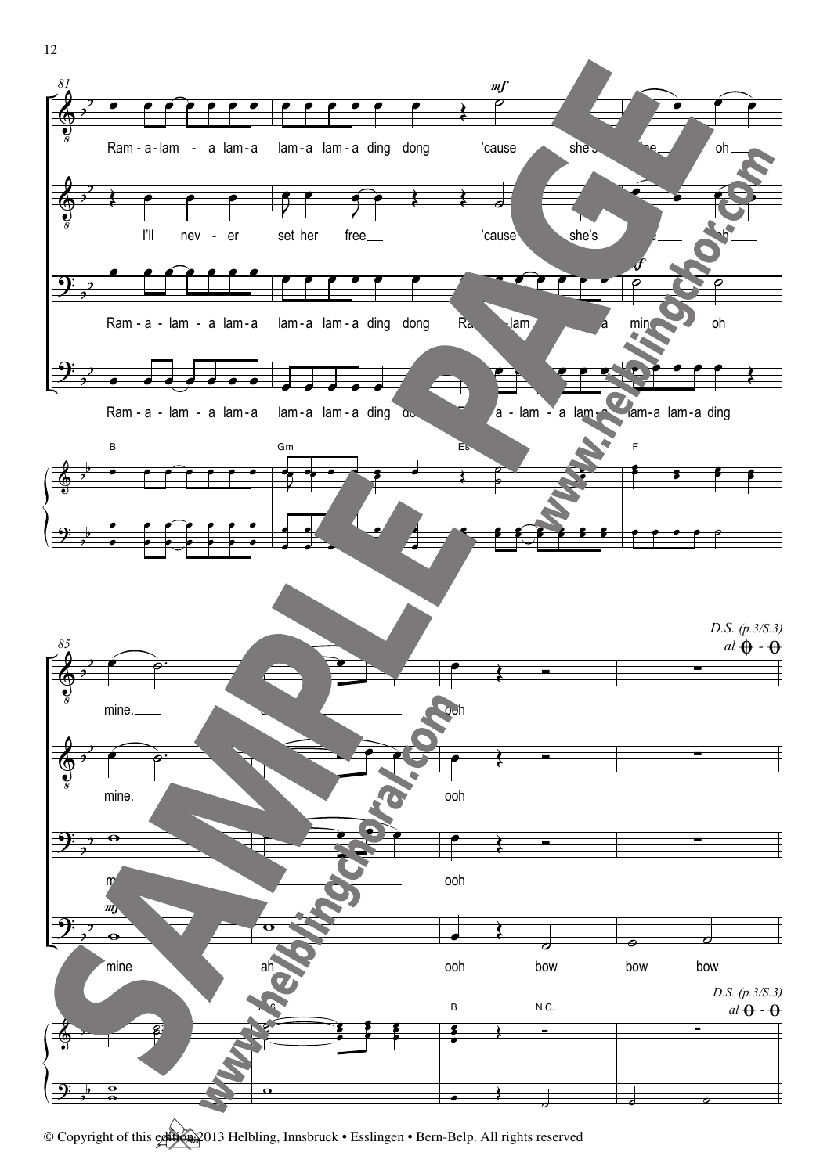

 $\begin{array}{c} \bullet \quad & \bullet \quad \\ \bullet \quad & \bullet \quad \end{array}$ 

 $\overline{\phantom{a}}$   $\overline{\phantom{a}}$ 

 $\overline{\mathbf{o}}$ 

12

 $\overline{\mathbf{P}}$ 

b b  $\overline{\mathbf{e}}$  $\frac{9}{9}$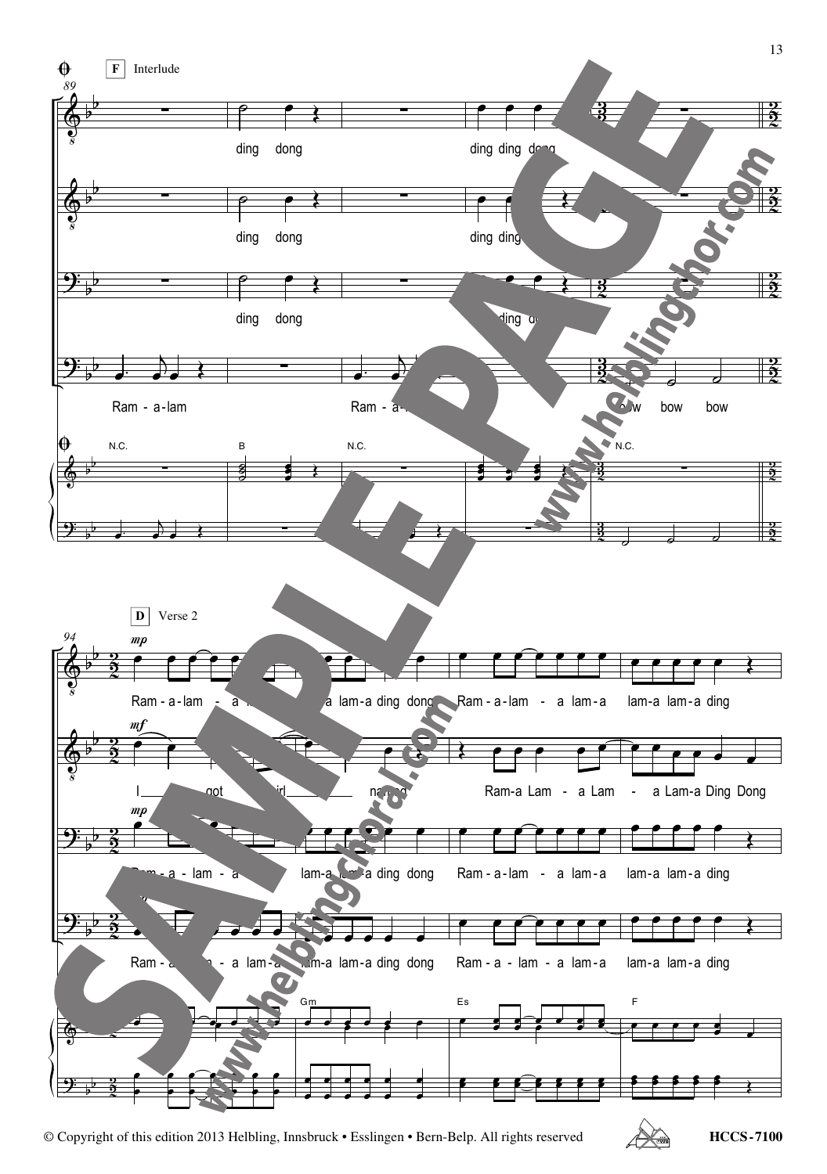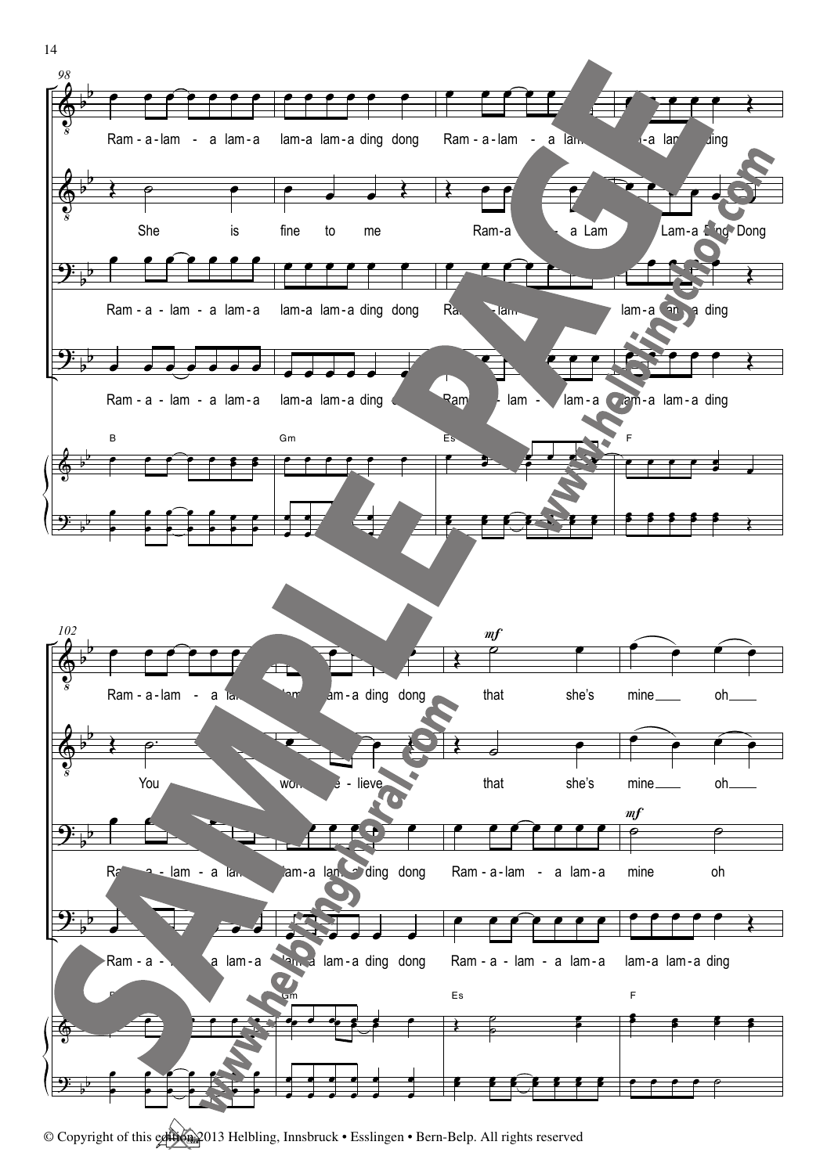